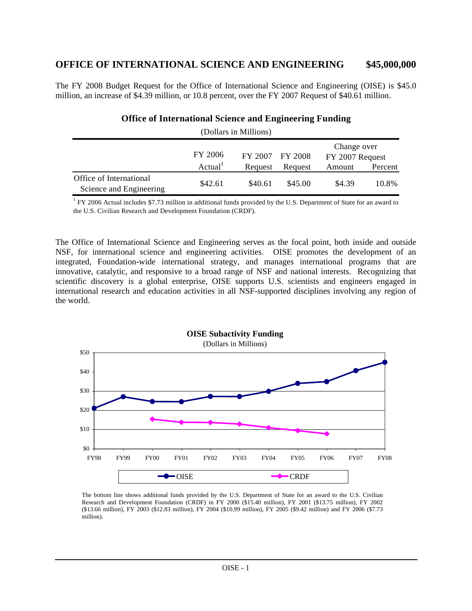# **OFFICE OF INTERNATIONAL SCIENCE AND ENGINEERING \$45,000,000**

The FY 2008 Budget Request for the Office of International Science and Engineering (OISE) is \$45.0 million, an increase of \$4.39 million, or 10.8 percent, over the FY 2007 Request of \$40.61 million.

| (Dollars in Millions)                              |                            |         |         |                                |         |
|----------------------------------------------------|----------------------------|---------|---------|--------------------------------|---------|
|                                                    | FY 2006<br>FY 2007 FY 2008 |         |         | Change over<br>FY 2007 Request |         |
|                                                    | Actual <sup>1</sup>        | Request | Request | Amount                         | Percent |
| Office of International<br>Science and Engineering | \$42.61                    | \$40.61 | \$45.00 | \$4.39                         | 10.8%   |

### **Office of International Science and Engineering Funding**

<sup>1</sup> FY 2006 Actual includes \$7.73 million in additional funds provided by the U.S. Department of State for an award to the U.S. Civilian Research and Development Foundation (CRDF).

The Office of International Science and Engineering serves as the focal point, both inside and outside NSF, for international science and engineering activities. OISE promotes the development of an integrated, Foundation-wide international strategy, and manages international programs that are innovative, catalytic, and responsive to a broad range of NSF and national interests. Recognizing that scientific discovery is a global enterprise, OISE supports U.S. scientists and engineers engaged in international research and education activities in all NSF-supported disciplines involving any region of the world.



The bottom line shows additional funds provided by the U.S. Department of State for an award to the U.S. Civilian Research and Development Foundation (CRDF) in FY 2000 (\$15.40 million), FY 2001 (\$13.75 million), FY 2002 (\$13.66 million), FY 2003 (\$12.83 million), FY 2004 (\$10.99 million), FY 2005 (\$9.42 million) and FY 2006 (\$7.73 million).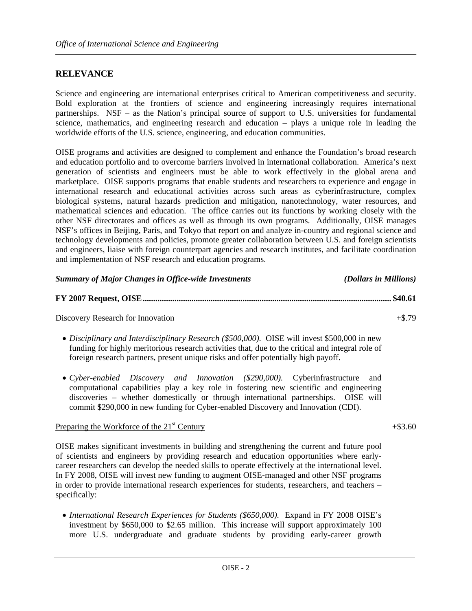### **RELEVANCE**

Science and engineering are international enterprises critical to American competitiveness and security. Bold exploration at the frontiers of science and engineering increasingly requires international partnerships. NSF – as the Nation's principal source of support to U.S. universities for fundamental science, mathematics, and engineering research and education – plays a unique role in leading the worldwide efforts of the U.S. science, engineering, and education communities.

OISE programs and activities are designed to complement and enhance the Foundation's broad research and education portfolio and to overcome barriers involved in international collaboration. America's next generation of scientists and engineers must be able to work effectively in the global arena and marketplace. OISE supports programs that enable students and researchers to experience and engage in international research and educational activities across such areas as cyberinfrastructure, complex biological systems, natural hazards prediction and mitigation, nanotechnology, water resources, and mathematical sciences and education. The office carries out its functions by working closely with the other NSF directorates and offices as well as through its own programs. Additionally, OISE manages NSF's offices in Beijing, Paris, and Tokyo that report on and analyze in-country and regional science and technology developments and policies, promote greater collaboration between U.S. and foreign scientists and engineers, liaise with foreign counterpart agencies and research institutes, and facilitate coordination and implementation of NSF research and education programs.

| <b>Summary of Major Changes in Office-wide Investments</b> | (Dollars in Millions) |
|------------------------------------------------------------|-----------------------|
|                                                            |                       |

Discovery Research for Innovation  $+$ \$.79

- *Disciplinary and Interdisciplinary Research (\$500,000).* OISE will invest \$500,000 in new funding for highly meritorious research activities that, due to the critical and integral role of foreign research partners, present unique risks and offer potentially high payoff.
- *Cyber-enabled Discovery and Innovation (\$290,000).* Cyberinfrastructure and computational capabilities play a key role in fostering new scientific and engineering discoveries – whether domestically or through international partnerships. OISE will commit \$290,000 in new funding for Cyber-enabled Discovery and Innovation (CDI).

### Preparing the Workforce of the  $21^{st}$  Century  $+$ \$3.60

OISE makes significant investments in building and strengthening the current and future pool of scientists and engineers by providing research and education opportunities where earlycareer researchers can develop the needed skills to operate effectively at the international level. In FY 2008, OISE will invest new funding to augment OISE-managed and other NSF programs in order to provide international research experiences for students, researchers, and teachers – specifically:

• *International Research Experiences for Students (\$650,000).* Expand in FY 2008 OISE's investment by \$650,000 to \$2.65 million. This increase will support approximately 100 more U.S. undergraduate and graduate students by providing early-career growth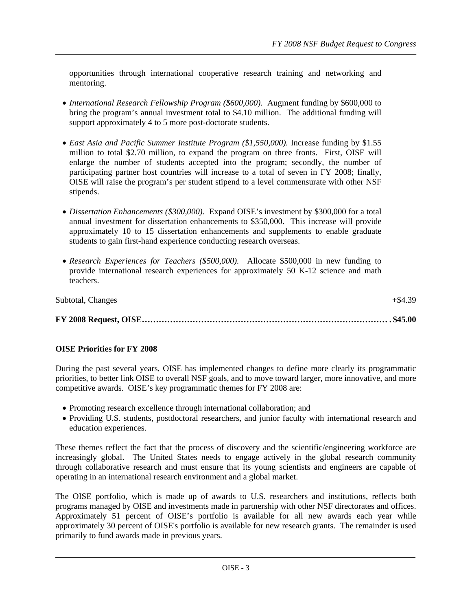opportunities through international cooperative research training and networking and mentoring.

- *International Research Fellowship Program (\$600,000).* Augment funding by \$600,000 to bring the program's annual investment total to \$4.10 million. The additional funding will support approximately 4 to 5 more post-doctorate students.
- *East Asia and Pacific Summer Institute Program (\$1,550,000).* Increase funding by \$1.55 million to total \$2.70 million, to expand the program on three fronts. First, OISE will enlarge the number of students accepted into the program; secondly, the number of participating partner host countries will increase to a total of seven in FY 2008; finally, OISE will raise the program's per student stipend to a level commensurate with other NSF stipends.
- *Dissertation Enhancements (\$300,000).* Expand OISE's investment by \$300,000 for a total annual investment for dissertation enhancements to \$350,000. This increase will provide approximately 10 to 15 dissertation enhancements and supplements to enable graduate students to gain first-hand experience conducting research overseas.
- *Research Experiences for Teachers (\$500,000).*Allocate \$500,000 in new funding to provide international research experiences for approximately 50 K-12 science and math teachers.

| Subtotal, Changes | $+\$4.39$ |
|-------------------|-----------|
|                   |           |

#### **OISE Priorities for FY 2008**

During the past several years, OISE has implemented changes to define more clearly its programmatic priorities, to better link OISE to overall NSF goals, and to move toward larger, more innovative, and more competitive awards. OISE's key programmatic themes for FY 2008 are:

- Promoting research excellence through international collaboration; and
- Providing U.S. students, postdoctoral researchers, and junior faculty with international research and education experiences.

These themes reflect the fact that the process of discovery and the scientific/engineering workforce are increasingly global. The United States needs to engage actively in the global research community through collaborative research and must ensure that its young scientists and engineers are capable of operating in an international research environment and a global market.

The OISE portfolio, which is made up of awards to U.S. researchers and institutions, reflects both programs managed by OISE and investments made in partnership with other NSF directorates and offices. Approximately 51 percent of OISE's portfolio is available for all new awards each year while approximately 30 percent of OISE's portfolio is available for new research grants. The remainder is used primarily to fund awards made in previous years.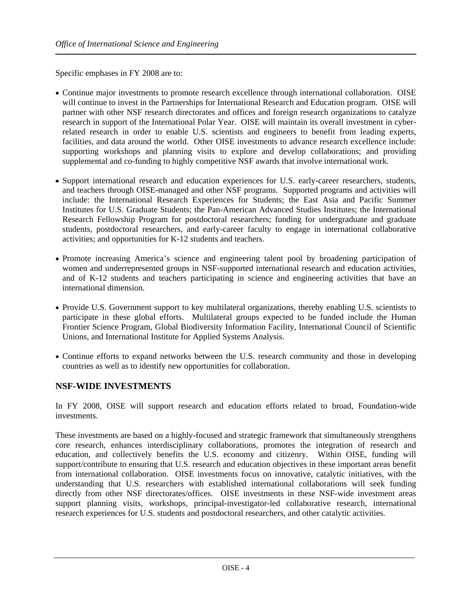Specific emphases in FY 2008 are to:

- Continue major investments to promote research excellence through international collaboration. OISE will continue to invest in the Partnerships for International Research and Education program. OISE will partner with other NSF research directorates and offices and foreign research organizations to catalyze research in support of the International Polar Year. OISE will maintain its overall investment in cyberrelated research in order to enable U.S. scientists and engineers to benefit from leading experts, facilities, and data around the world. Other OISE investments to advance research excellence include: supporting workshops and planning visits to explore and develop collaborations; and providing supplemental and co-funding to highly competitive NSF awards that involve international work.
- Support international research and education experiences for U.S. early-career researchers, students, and teachers through OISE-managed and other NSF programs. Supported programs and activities will include: the International Research Experiences for Students; the East Asia and Pacific Summer Institutes for U.S. Graduate Students; the Pan-American Advanced Studies Institutes; the International Research Fellowship Program for postdoctoral researchers; funding for undergraduate and graduate students, postdoctoral researchers, and early-career faculty to engage in international collaborative activities; and opportunities for K-12 students and teachers.
- Promote increasing America's science and engineering talent pool by broadening participation of women and underrepresented groups in NSF-supported international research and education activities, and of K-12 students and teachers participating in science and engineering activities that have an international dimension.
- Provide U.S. Government support to key multilateral organizations, thereby enabling U.S. scientists to participate in these global efforts. Multilateral groups expected to be funded include the Human Frontier Science Program, Global Biodiversity Information Facility, International Council of Scientific Unions, and International Institute for Applied Systems Analysis.
- Continue efforts to expand networks between the U.S. research community and those in developing countries as well as to identify new opportunities for collaboration.

# **NSF-WIDE INVESTMENTS**

In FY 2008, OISE will support research and education efforts related to broad, Foundation-wide investments.

These investments are based on a highly-focused and strategic framework that simultaneously strengthens core research, enhances interdisciplinary collaborations, promotes the integration of research and education, and collectively benefits the U.S. economy and citizenry. Within OISE, funding will support/contribute to ensuring that U.S. research and education objectives in these important areas benefit from international collaboration. OISE investments focus on innovative, catalytic initiatives, with the understanding that U.S. researchers with established international collaborations will seek funding directly from other NSF directorates/offices. OISE investments in these NSF-wide investment areas support planning visits, workshops, principal-investigator-led collaborative research, international research experiences for U.S. students and postdoctoral researchers, and other catalytic activities.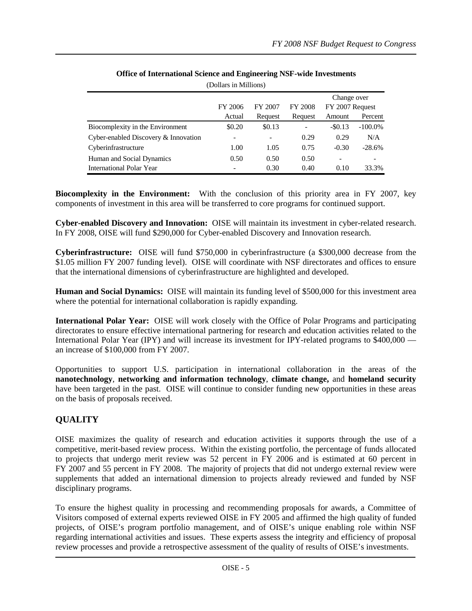|                                      |                          |                 |                | Change over     |            |
|--------------------------------------|--------------------------|-----------------|----------------|-----------------|------------|
|                                      | FY 2006                  | FY 2007         | <b>FY 2008</b> | FY 2007 Request |            |
|                                      | Actual                   | Request         | Request        | Amount          | Percent    |
| Biocomplexity in the Environment     | \$0.20                   | \$0.13          |                | $-$ \$0.13      | $-100.0\%$ |
| Cyber-enabled Discovery & Innovation | $\overline{\phantom{0}}$ | $\qquad \qquad$ | 0.29           | 0.29            | N/A        |
| Cyberinfrastructure                  | 1.00                     | 1.05            | 0.75           | $-0.30$         | $-28.6%$   |
| Human and Social Dynamics            | 0.50                     | 0.50            | 0.50           | ۰               |            |
| <b>International Polar Year</b>      |                          | 0.30            | 0.40           | 0.10            | 33.3%      |

#### **Office of International Science and Engineering NSF-wide Investments** (Dollars in Millions)

**Biocomplexity in the Environment:** With the conclusion of this priority area in FY 2007, key components of investment in this area will be transferred to core programs for continued support.

**Cyber-enabled Discovery and Innovation:** OISE will maintain its investment in cyber-related research. In FY 2008, OISE will fund \$290,000 for Cyber-enabled Discovery and Innovation research.

**Cyberinfrastructure:** OISE will fund \$750,000 in cyberinfrastructure (a \$300,000 decrease from the \$1.05 million FY 2007 funding level). OISE will coordinate with NSF directorates and offices to ensure that the international dimensions of cyberinfrastructure are highlighted and developed.

**Human and Social Dynamics:** OISE will maintain its funding level of \$500,000 for this investment area where the potential for international collaboration is rapidly expanding.

**International Polar Year:** OISE will work closely with the Office of Polar Programs and participating directorates to ensure effective international partnering for research and education activities related to the International Polar Year (IPY) and will increase its investment for IPY-related programs to \$400,000 an increase of \$100,000 from FY 2007.

Opportunities to support U.S. participation in international collaboration in the areas of the **nanotechnology**, **networking and information technology**, **climate change,** and **homeland security**  have been targeted in the past. OISE will continue to consider funding new opportunities in these areas on the basis of proposals received.

# **QUALITY**

OISE maximizes the quality of research and education activities it supports through the use of a competitive, merit-based review process. Within the existing portfolio, the percentage of funds allocated to projects that undergo merit review was 52 percent in FY 2006 and is estimated at 60 percent in FY 2007 and 55 percent in FY 2008. The majority of projects that did not undergo external review were supplements that added an international dimension to projects already reviewed and funded by NSF disciplinary programs.

To ensure the highest quality in processing and recommending proposals for awards, a Committee of Visitors composed of external experts reviewed OISE in FY 2005 and affirmed the high quality of funded projects, of OISE's program portfolio management, and of OISE's unique enabling role within NSF regarding international activities and issues. These experts assess the integrity and efficiency of proposal review processes and provide a retrospective assessment of the quality of results of OISE's investments.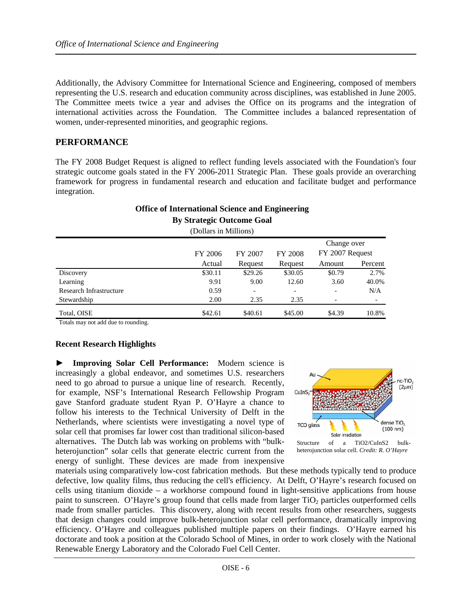Additionally, the Advisory Committee for International Science and Engineering, composed of members representing the U.S. research and education community across disciplines, was established in June 2005. The Committee meets twice a year and advises the Office on its programs and the integration of international activities across the Foundation. The Committee includes a balanced representation of women, under-represented minorities, and geographic regions.

### **PERFORMANCE**

The FY 2008 Budget Request is aligned to reflect funding levels associated with the Foundation's four strategic outcome goals stated in the FY 2006-2011 Strategic Plan. These goals provide an overarching framework for progress in fundamental research and education and facilitate budget and performance integration.

| -<br>$\overline{\phantom{a}}$<br><b>By Strategic Outcome Goal</b><br>(Dollars in Millions) |         |                           |                          |                                |         |  |
|--------------------------------------------------------------------------------------------|---------|---------------------------|--------------------------|--------------------------------|---------|--|
|                                                                                            | FY 2006 | FY 2007<br><b>FY 2008</b> |                          | Change over<br>FY 2007 Request |         |  |
|                                                                                            | Actual  | Request                   | Request                  | Amount                         | Percent |  |
| Discovery                                                                                  | \$30.11 | \$29.26                   | \$30.05                  | \$0.79                         | 2.7%    |  |
| Learning                                                                                   | 9.91    | 9.00                      | 12.60                    | 3.60                           | 40.0%   |  |
| Research Infrastructure                                                                    | 0.59    | $\overline{\phantom{0}}$  | $\overline{\phantom{a}}$ | $\overline{\phantom{a}}$       | N/A     |  |
| Stewardship                                                                                | 2.00    | 2.35                      | 2.35                     | -                              |         |  |
| Total, OISE                                                                                | \$42.61 | \$40.61                   | \$45.00                  | \$4.39                         | 10.8%   |  |

**Office of International Science and Engineering**

Totals may not add due to rounding.

### **Recent Research Highlights**

**► Improving Solar Cell Performance:** Modern science is increasingly a global endeavor, and sometimes U.S. researchers need to go abroad to pursue a unique line of research. Recently, for example, NSF's International Research Fellowship Program gave Stanford graduate student Ryan P. O'Hayre a chance to follow his interests to the Technical University of Delft in the Netherlands, where scientists were investigating a novel type of solar cell that promises far lower cost than traditional silicon-based alternatives. The Dutch lab was working on problems with "bulkheterojunction" solar cells that generate electric current from the energy of sunlight. These devices are made from inexpensive



materials using comparatively low-cost fabrication methods. But these methods typically tend to produce defective, low quality films, thus reducing the cell's efficiency. At Delft, O'Hayre's research focused on cells using titanium dioxide – a workhorse compound found in light-sensitive applications from house paint to sunscreen. O'Hayre's group found that cells made from larger  $TiO<sub>2</sub>$  particles outperformed cells made from smaller particles. This discovery, along with recent results from other researchers, suggests that design changes could improve bulk-heterojunction solar cell performance, dramatically improving efficiency. O'Hayre and colleagues published multiple papers on their findings. O'Hayre earned his doctorate and took a position at the Colorado School of Mines, in order to work closely with the National Renewable Energy Laboratory and the Colorado Fuel Cell Center.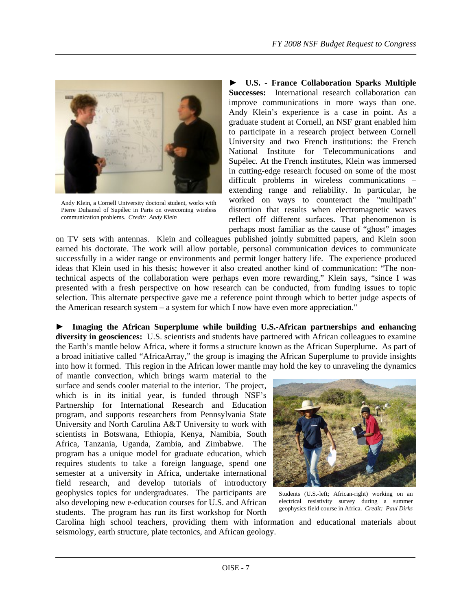

Andy Klein, a Cornell University doctoral student, works with Pierre Duhamel of Supélec in Paris on overcoming wireless communication problems. *Credit: Andy Klein*

**► U.S. - France Collaboration Sparks Multiple Successes:** International research collaboration can improve communications in more ways than one. Andy Klein's experience is a case in point. As a graduate student at Cornell, an NSF grant enabled him to participate in a research project between Cornell University and two French institutions: the French National Institute for Telecommunications and Supélec. At the French institutes, Klein was immersed in cutting-edge research focused on some of the most difficult problems in wireless communications – extending range and reliability. In particular, he worked on ways to counteract the "multipath" distortion that results when electromagnetic waves reflect off different surfaces. That phenomenon is perhaps most familiar as the cause of "ghost" images

on TV sets with antennas. Klein and colleagues published jointly submitted papers, and Klein soon earned his doctorate. The work will allow portable, personal communication devices to communicate successfully in a wider range or environments and permit longer battery life. The experience produced ideas that Klein used in his thesis; however it also created another kind of communication: "The nontechnical aspects of the collaboration were perhaps even more rewarding," Klein says, "since I was presented with a fresh perspective on how research can be conducted, from funding issues to topic selection. This alternate perspective gave me a reference point through which to better judge aspects of the American research system – a system for which I now have even more appreciation."

**► Imaging the African Superplume while building U.S.-African partnerships and enhancing diversity in geosciences:** U.S. scientists and students have partnered with African colleagues to examine the Earth's mantle below Africa, where it forms a structure known as the African Superplume. As part of a broad initiative called "AfricaArray," the group is imaging the African Superplume to provide insights into how it formed. This region in the African lower mantle may hold the key to unraveling the dynamics

of mantle convection, which brings warm material to the surface and sends cooler material to the interior. The project, which is in its initial year, is funded through NSF's Partnership for International Research and Education program, and supports researchers from Pennsylvania State University and North Carolina A&T University to work with scientists in Botswana, Ethiopia, Kenya, Namibia, South Africa, Tanzania, Uganda, Zambia, and Zimbabwe. The program has a unique model for graduate education, which requires students to take a foreign language, spend one semester at a university in Africa, undertake international field research, and develop tutorials of introductory geophysics topics for undergraduates. The participants are also developing new e-education courses for U.S. and African students. The program has run its first workshop for North



Students (U.S.-left; African-right) working on an electrical resistivity survey during a summer geophysics field course in Africa. *Credit: Paul Dirks* 

Carolina high school teachers, providing them with information and educational materials about seismology, earth structure, plate tectonics, and African geology.